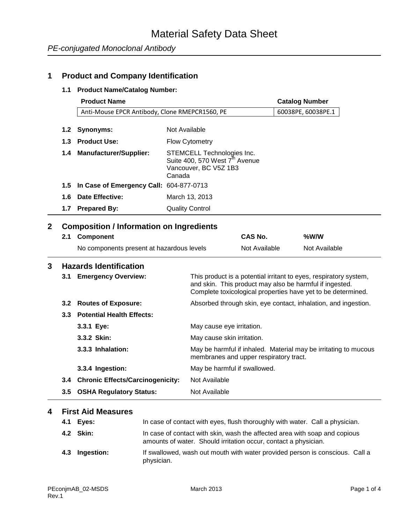## **1 Product and Company Identification**

#### **1.1 Product Name/Catalog Number:**

|                         |                  | <b>Product Name</b>                             |                        |                                                                                                   |               | <b>Catalog Number</b>                                                                                                                                                                        |
|-------------------------|------------------|-------------------------------------------------|------------------------|---------------------------------------------------------------------------------------------------|---------------|----------------------------------------------------------------------------------------------------------------------------------------------------------------------------------------------|
|                         |                  | Anti-Mouse EPCR Antibody, Clone RMEPCR1560, PE  |                        |                                                                                                   |               | 60038PE, 60038PE.1                                                                                                                                                                           |
|                         |                  |                                                 |                        |                                                                                                   |               |                                                                                                                                                                                              |
|                         | 1.2 <sub>1</sub> | <b>Synonyms:</b>                                | Not Available          |                                                                                                   |               |                                                                                                                                                                                              |
|                         | 1.3              | <b>Product Use:</b>                             | <b>Flow Cytometry</b>  |                                                                                                   |               |                                                                                                                                                                                              |
|                         | 1.4              | <b>Manufacturer/Supplier:</b>                   | Canada                 | STEMCELL Technologies Inc.<br>Suite 400, 570 West 7 <sup>th</sup> Avenue<br>Vancouver, BC V5Z 1B3 |               |                                                                                                                                                                                              |
|                         | 1.5              | In Case of Emergency Call: 604-877-0713         |                        |                                                                                                   |               |                                                                                                                                                                                              |
|                         | 1.6              | <b>Date Effective:</b>                          | March 13, 2013         |                                                                                                   |               |                                                                                                                                                                                              |
|                         | 1.7              | <b>Prepared By:</b>                             | <b>Quality Control</b> |                                                                                                   |               |                                                                                                                                                                                              |
| $\overline{\mathbf{2}}$ |                  |                                                 |                        |                                                                                                   |               |                                                                                                                                                                                              |
|                         |                  | <b>Composition / Information on Ingredients</b> |                        |                                                                                                   | CAS No.       | %W/W                                                                                                                                                                                         |
|                         | 2.1              | <b>Component</b>                                |                        |                                                                                                   |               |                                                                                                                                                                                              |
|                         |                  | No components present at hazardous levels       |                        |                                                                                                   | Not Available | Not Available                                                                                                                                                                                |
| 3                       |                  | <b>Hazards Identification</b>                   |                        |                                                                                                   |               |                                                                                                                                                                                              |
|                         | 3.1              | <b>Emergency Overview:</b>                      |                        |                                                                                                   |               | This product is a potential irritant to eyes, respiratory system,<br>and skin. This product may also be harmful if ingested.<br>Complete toxicological properties have yet to be determined. |
|                         |                  | 3.2 Routes of Exposure:                         |                        |                                                                                                   |               | Absorbed through skin, eye contact, inhalation, and ingestion.                                                                                                                               |
|                         |                  | 3.3 Potential Health Effects:                   |                        |                                                                                                   |               |                                                                                                                                                                                              |
|                         |                  | 3.3.1 Eye:                                      |                        | May cause eye irritation.                                                                         |               |                                                                                                                                                                                              |
|                         |                  | 3.3.2 Skin:                                     |                        | May cause skin irritation.                                                                        |               |                                                                                                                                                                                              |
|                         |                  | 3.3.3 Inhalation:                               |                        | membranes and upper respiratory tract.                                                            |               | May be harmful if inhaled. Material may be irritating to mucous                                                                                                                              |
|                         |                  | 3.3.4 Ingestion:                                |                        | May be harmful if swallowed.                                                                      |               |                                                                                                                                                                                              |
|                         |                  | 3.4 Chronic Effects/Carcinogenicity:            |                        | Not Available                                                                                     |               |                                                                                                                                                                                              |
|                         | 3.5              | <b>OSHA Regulatory Status:</b>                  |                        | Not Available                                                                                     |               |                                                                                                                                                                                              |
|                         |                  |                                                 |                        |                                                                                                   |               |                                                                                                                                                                                              |

## **4 First Aid Measures**

| 4.1 Eyes:      | In case of contact with eyes, flush thoroughly with water. Call a physician.                                                                  |
|----------------|-----------------------------------------------------------------------------------------------------------------------------------------------|
| 4.2 Skin:      | In case of contact with skin, wash the affected area with soap and copious<br>amounts of water. Should irritation occur, contact a physician. |
| 4.3 Ingestion: | If swallowed, wash out mouth with water provided person is conscious. Call a<br>physician.                                                    |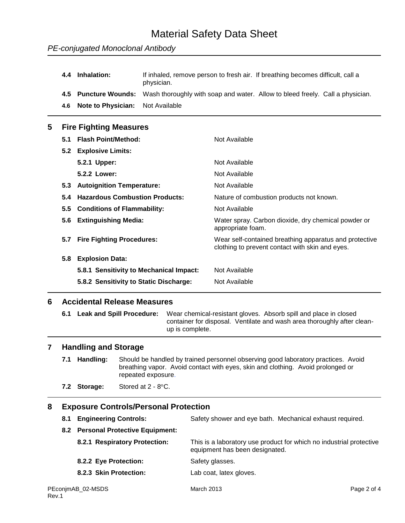# Material Safety Data Sheet

|   | 4.4           | Inhalation:                           | physician.    | If inhaled, remove person to fresh air. If breathing becomes difficult, call a                            |
|---|---------------|---------------------------------------|---------------|-----------------------------------------------------------------------------------------------------------|
|   | 4.5           | <b>Puncture Wounds:</b>               |               | Wash thoroughly with soap and water. Allow to bleed freely. Call a physician.                             |
|   | 4.6           | <b>Note to Physician:</b>             | Not Available |                                                                                                           |
| 5 |               | <b>Fire Fighting Measures</b>         |               |                                                                                                           |
|   | 5.1           | <b>Flash Point/Method:</b>            |               | Not Available                                                                                             |
|   | 5.2           | <b>Explosive Limits:</b>              |               |                                                                                                           |
|   |               | 5.2.1 Upper:                          |               | Not Available                                                                                             |
|   |               | 5.2.2 Lower:                          |               | Not Available                                                                                             |
|   | 5.3           | <b>Autoignition Temperature:</b>      |               | Not Available                                                                                             |
|   | 5.4           | <b>Hazardous Combustion Products:</b> |               | Nature of combustion products not known.                                                                  |
|   | $5.5^{\circ}$ | <b>Conditions of Flammability:</b>    |               | Not Available                                                                                             |
|   | 5.6           | <b>Extinguishing Media:</b>           |               | Water spray. Carbon dioxide, dry chemical powder or<br>appropriate foam.                                  |
|   | 5.7           | <b>Fire Fighting Procedures:</b>      |               | Wear self-contained breathing apparatus and protective<br>clothing to prevent contact with skin and eyes. |
|   |               |                                       |               |                                                                                                           |

**5.8 Explosion Data: 5.8.1 Sensitivity to Mechanical Impact:** Not Available **5.8.2 Sensitivity to Static Discharge:** Not Available

### **6 Accidental Release Measures**

**6.1 Leak and Spill Procedure:** Wear chemical-resistant gloves. Absorb spill and place in closed container for disposal. Ventilate and wash area thoroughly after cleanup is complete.

#### **7 Handling and Storage**

**7.1 Handling:** Should be handled by trained personnel observing good laboratory practices. Avoid breathing vapor. Avoid contact with eyes, skin and clothing. Avoid prolonged or repeated exposure.

**7.2 Storage:** Stored at 2 - 8°C.

### **8 Exposure Controls/Personal Protection**

- **8.1 Engineering Controls:** Safety shower and eye bath. Mechanical exhaust required.
- **8.2 Personal Protective Equipment:**
	- **8.2.1 Respiratory Protection:** This is a laboratory use product for which no industrial protective equipment has been designated. **8.2.2 Eye Protection:** Safety glasses.
	- **8.2.3 Skin Protection:** Lab coat, latex gloves.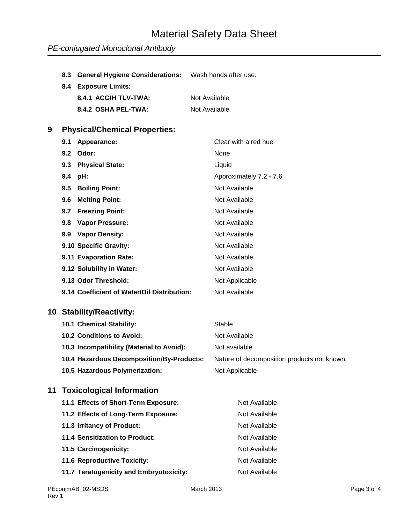# Material Safety Data Sheet

## *PE-conjugated Monoclonal Antibody*

| 8.4 Exposure Limits: |                                                           |
|----------------------|-----------------------------------------------------------|
| 8.4.1 ACGIH TLV-TWA: | Not Available                                             |
| 8.4.2 OSHA PEL-TWA:  | Not Available                                             |
|                      | 8.3 General Hygiene Considerations: Wash hands after use. |

## **9 Physical/Chemical Properties:**

| 9.1<br>Appearance:            |                                             | Clear with a red hue    |
|-------------------------------|---------------------------------------------|-------------------------|
| Odor:<br>$9.2^{\circ}$        |                                             | None                    |
| <b>Physical State:</b><br>9.3 |                                             | Liquid                  |
| 9.4<br>pH:                    |                                             | Approximately 7.2 - 7.6 |
| <b>Boiling Point:</b><br>9.5  |                                             | Not Available           |
| <b>Melting Point:</b><br>9.6  |                                             | Not Available           |
| <b>Freezing Point:</b><br>9.7 |                                             | Not Available           |
| <b>Vapor Pressure:</b><br>9.8 |                                             | Not Available           |
| 9.9 Vapor Density:            |                                             | Not Available           |
| 9.10 Specific Gravity:        |                                             | Not Available           |
| 9.11 Evaporation Rate:        |                                             | Not Available           |
| 9.12 Solubility in Water:     |                                             | Not Available           |
| 9.13 Odor Threshold:          |                                             | Not Applicable          |
|                               | 9.14 Coefficient of Water/Oil Distribution: | Not Available           |

### **10 Stability/Reactivity:**

| 10.1 Chemical Stability:                  | Stable                                      |
|-------------------------------------------|---------------------------------------------|
| <b>10.2 Conditions to Avoid:</b>          | Not Available                               |
| 10.3 Incompatibility (Material to Avoid): | Not available                               |
| 10.4 Hazardous Decomposition/By-Products: | Nature of decomposition products not known. |
| 10.5 Hazardous Polymerization:            | Not Applicable                              |

## **11 Toxicological Information**

| 11.1 Effects of Short-Term Exposure:    | Not Available |
|-----------------------------------------|---------------|
| 11.2 Effects of Long-Term Exposure:     | Not Available |
| 11.3 Irritancy of Product:              | Not Available |
| 11.4 Sensitization to Product:          | Not Available |
| 11.5 Carcinogenicity:                   | Not Available |
| <b>11.6 Reproductive Toxicity:</b>      | Not Available |
| 11.7 Teratogenicity and Embryotoxicity: | Not Available |